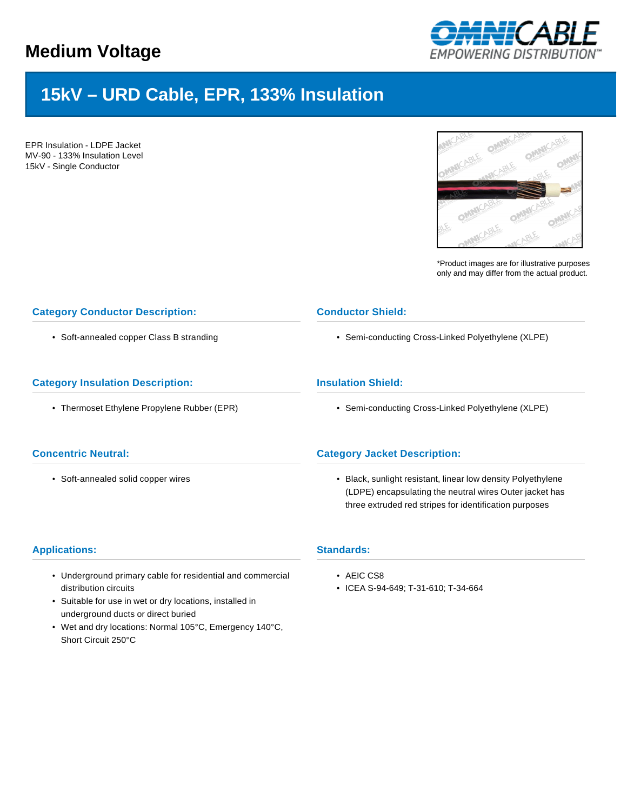

# **15kV – URD Cable, EPR, 133% Insulation**

EPR Insulation - LDPE Jacket MV-90 - 133% Insulation Level 15kV - Single Conductor



\*Product images are for illustrative purposes only and may differ from the actual product.

## **Category Conductor Description:**

• Soft-annealed copper Class B stranding

## **Category Insulation Description:**

• Thermoset Ethylene Propylene Rubber (EPR)

#### **Concentric Neutral:**

• Soft-annealed solid copper wires

## **Conductor Shield:**

• Semi-conducting Cross-Linked Polyethylene (XLPE)

## **Insulation Shield:**

• Semi-conducting Cross-Linked Polyethylene (XLPE)

# **Category Jacket Description:**

• Black, sunlight resistant, linear low density Polyethylene (LDPE) encapsulating the neutral wires Outer jacket has three extruded red stripes for identification purposes

#### **Applications:**

- Underground primary cable for residential and commercial distribution circuits
- Suitable for use in wet or dry locations, installed in underground ducts or direct buried
- Wet and dry locations: Normal 105°C, Emergency 140°C, Short Circuit 250°C
- **Standards:**
	- AEIC CS8
	- ICEA S-94-649; T-31-610; T-34-664